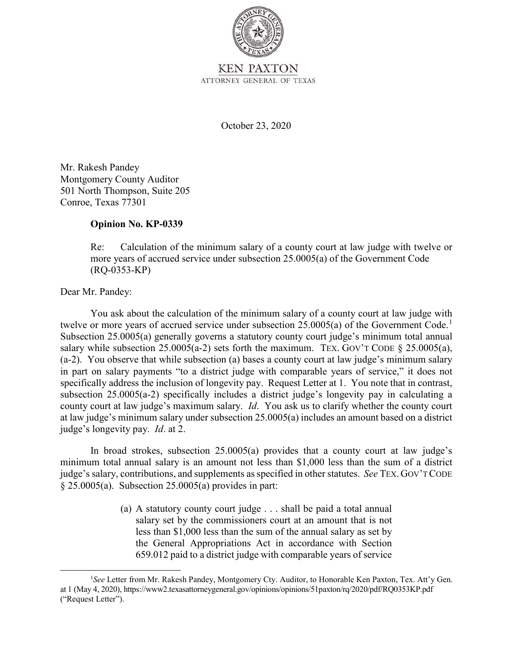

October 23, 2020

Mr. Rakesh Pandey Montgomery County Auditor 501 North Thompson, Suite 205 Conroe, Texas 77301

## **Opinion No. KP-0339**

 $(RO-0353-KP)$ Re: Calculation of the minimum salary of a county court at law judge with twelve or more years of accrued service under subsection 25.0005(a) of the Government Code

## (RQ-0353-KP) Dear Mr. Pandey:

twelve or more years of accrued service under subsection  $25.0005(a)$  of the Government Code.<sup>1</sup> salary while subsection  $25.0005(a-2)$  sets forth the maximum. TEX. GOV'T CODE  $\S 25.0005(a)$ , specifically address the inclusion of longevity pay. Request Letter at 1. You note that in contrast, subsection 25.0005(a-2) specifically includes a district judge's longevity pay in calculating a You ask about the calculation of the minimum salary of a county court at law judge with Subsection 25.0005(a) generally governs a statutory county court judge's minimum total annual (a-2). You observe that while subsection (a) bases a county court at law judge's minimum salary in part on salary payments "to a district judge with comparable years of service," it does not county court at law judge's maximum salary. *Id*. You ask us to clarify whether the county court at law judge's minimum salary under subsection 25.0005(a) includes an amount based on a district judge's longevity pay. *Id*. at 2.

 judge's salary, contributions, and supplements as specified in other statutes. *See* TEX. GOV'T CODE In broad strokes, subsection 25.0005(a) provides that a county court at law judge's minimum total annual salary is an amount not less than \$1,000 less than the sum of a district  $§ 25.0005(a)$ . Subsection 25.0005(a) provides in part:

> (a) A statutory county court judge . . . shall be paid a total annual salary set by the commissioners court at an amount that is not less than \$1,000 less than the sum of the annual salary as set by the General Appropriations Act in accordance with Section 659.012 paid to a district judge with comparable years of service

at 1 (May 4, 2020), https://www2.texasattorneygeneral.gov/opinions/opinions/51paxton/rq/2020/pdf/RQ0353KP.pdf<br>("Request Letter"). <sup>1</sup>See Letter from Mr. Rakesh Pandey, Montgomery Cty. Auditor, to Honorable Ken Paxton, Tex. Att'y Gen.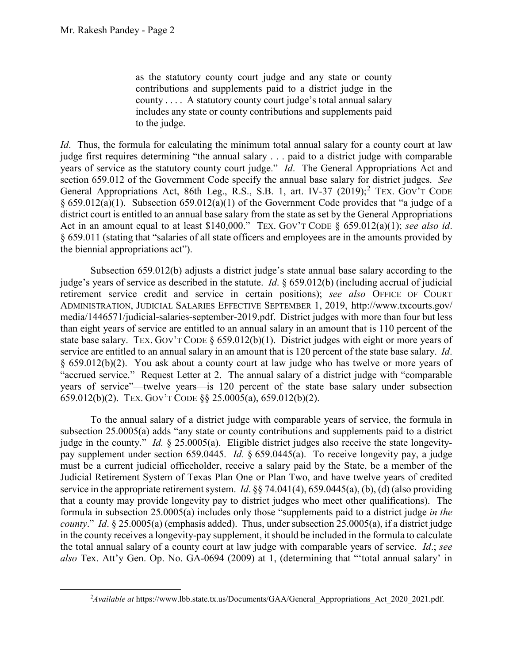$\overline{a}$ 

 as the statutory county court judge and any state or county county . . . . A statutory county court judge's total annual salary contributions and supplements paid to a district judge in the includes any state or county contributions and supplements paid to the judge.

 *Id*. Thus, the formula for calculating the minimum total annual salary for a county court at law section 659.012 of the Government Code specify the annual base salary for district judges. *See*  Act in an amount equal to at least \$140,000." TEX. GOV'T CODE § 659.012(a)(1); *see also id*. judge first requires determining "the annual salary . . . paid to a district judge with comparable years of service as the statutory county court judge." *Id*. The General Appropriations Act and General Appropriations Act, 86th Leg., R.S., S.B. 1, art. IV-37 (2019);<sup>2</sup> TEX. GOV'T CODE § 659.012(a)(1). Subsection 659.012(a)(1) of the Government Code provides that "a judge of a district court is entitled to an annual base salary from the state as set by the General Appropriations § 659.011 (stating that "salaries of all state officers and employees are in the amounts provided by the biennial appropriations act").

 Subsection 659.012(b) adjusts a district judge's state annual base salary according to the judge's years of service as described in the statute. *Id*. § 659.012(b) (including accrual of judicial state base salary. TEX. GOV'T CODE  $\S 659.012(b)(1)$ . District judges with eight or more years of service are entitled to an annual salary in an amount that is 120 percent of the state base salary. *Id*. § 659.012(b)(2). You ask about a county court at law judge who has twelve or more years of retirement service credit and service in certain positions); *see also* OFFICE OF COURT ADMINISTRATION, JUDICIAL SALARIES EFFECTIVE SEPTEMBER 1, 2019, [http://www.txcourts.gov/](http://www.txcourts.gov) media/1446571/judicial-salaries-september-2019.pdf. District judges with more than four but less than eight years of service are entitled to an annual salary in an amount that is 110 percent of the "accrued service." Request Letter at 2. The annual salary of a district judge with "comparable years of service"—twelve years—is 120 percent of the state base salary under subsection 659.012(b)(2). TEX. GOV'T CODE §§ 25.0005(a), 659.012(b)(2).

 pay supplement under section 659.0445. *Id.* § 659.0445(a). To receive longevity pay, a judge service in the appropriate retirement system. *Id*. §§ 74.041(4), 659.0445(a), (b), (d) (also providing that a county may provide longevity pay to district judges who meet other qualifications). The formula in subsection 25.0005(a) includes only those "supplements paid to a district judge *in the*  To the annual salary of a district judge with comparable years of service, the formula in subsection 25.0005(a) adds "any state or county contributions and supplements paid to a district judge in the county." *Id.* § 25.0005(a). Eligible district judges also receive the state longevitymust be a current judicial officeholder, receive a salary paid by the State, be a member of the Judicial Retirement System of Texas Plan One or Plan Two, and have twelve years of credited *county*." *Id*. § 25.0005(a) (emphasis added). Thus, under subsection 25.0005(a), if a district judge in the county receives a longevity-pay supplement, it should be included in the formula to calculate the total annual salary of a county court at law judge with comparable years of service. *Id*.; *see also* Tex. Att'y Gen. Op. No. GA-0694 (2009) at 1, (determining that "'total annual salary' in

<sup>2</sup> *Available at* [https://www.lbb.state.tx.us/Documents/GAA/General\\_Appropriations\\_Act\\_2020\\_2021.pdf.](https://www.lbb.state.tx.us/Documents/GAA/General_Appropriations_Act_2020_2021.pdf)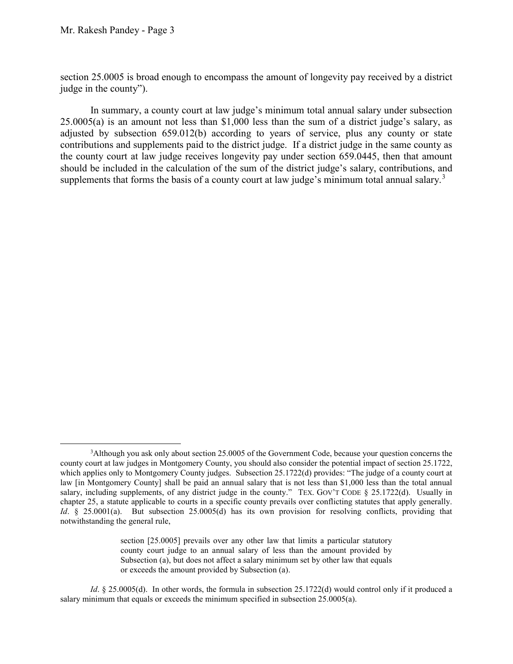$\overline{a}$ 

 section 25.0005 is broad enough to encompass the amount of longevity pay received by a district judge in the county").

 In summary, a county court at law judge's minimum total annual salary under subsection 25.0005(a) is an amount not less than \$1,000 less than the sum of a district judge's salary, as contributions and supplements paid to the district judge. If a district judge in the same county as the county court at law judge receives longevity pay under section 659.0445, then that amount adjusted by subsection 659.012(b) according to years of service, plus any county or state should be included in the calculation of the sum of the district judge's salary, contributions, and supplements that forms the basis of a county court at law judge's minimum total annual salary.<sup>3</sup>

 section [25.0005] prevails over any other law that limits a particular statutory county court judge to an annual salary of less than the amount provided by Subsection (a), but does not affect a salary minimum set by other law that equals or exceeds the amount provided by Subsection (a).

*Id*. § 25.0005(d). In other words, the formula in subsection 25.1722(d) would control only if it produced a salary minimum that equals or exceeds the minimum specified in subsection 25.0005(a).

 county court at law judges in Montgomery County, you should also consider the potential impact of section 25.1722, which applies only to Montgomery County judges. Subsection 25.1722(d) provides: "The judge of a county court at salary, including supplements, of any district judge in the county." TEX. GOV'T CODE § 25.1722(d). Usually in <sup>3</sup>Although you ask only about section 25.0005 of the Government Code, because your question concerns the law [in Montgomery County] shall be paid an annual salary that is not less than \$1,000 less than the total annual chapter 25, a statute applicable to courts in a specific county prevails over conflicting statutes that apply generally. *Id*. § 25.0001(a). But subsection 25.0005(d) has its own provision for resolving conflicts, providing that notwithstanding the general rule,